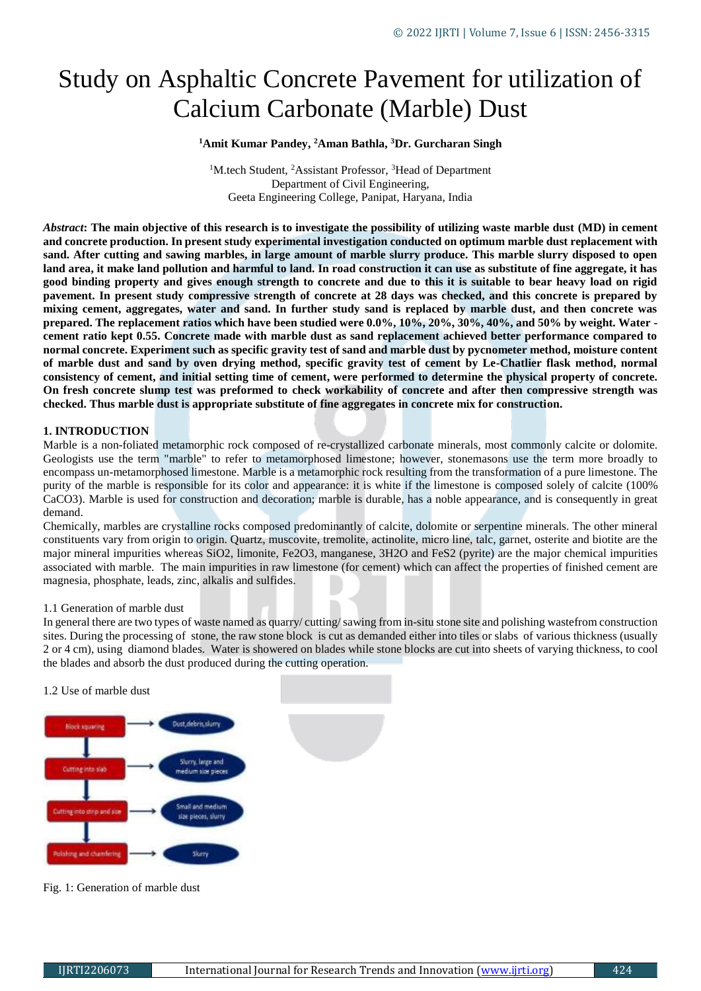# Study on Asphaltic Concrete Pavement for utilization of Calcium Carbonate (Marble) Dust

### **<sup>1</sup>Amit Kumar Pandey, <sup>2</sup>Aman Bathla, <sup>3</sup>Dr. Gurcharan Singh**

<sup>1</sup>M.tech Student, <sup>2</sup>Assistant Professor, <sup>3</sup>Head of Department Department of Civil Engineering, Geeta Engineering College, Panipat, Haryana, India

*Abstract***: The main objective of this research is to investigate the possibility of utilizing waste marble dust (MD) in cement and concrete production. In present study experimental investigation conducted on optimum marble dust replacement with sand. After cutting and sawing marbles, in large amount of marble slurry produce. This marble slurry disposed to open land area, it make land pollution and harmful to land. In road construction it can use as substitute of fine aggregate, it has good binding property and gives enough strength to concrete and due to this it is suitable to bear heavy load on rigid pavement. In present study compressive strength of concrete at 28 days was checked, and this concrete is prepared by mixing cement, aggregates, water and sand. In further study sand is replaced by marble dust, and then concrete was prepared. The replacement ratios which have been studied were 0.0%, 10%, 20%, 30%, 40%, and 50% by weight. Water cement ratio kept 0.55. Concrete made with marble dust as sand replacement achieved better performance compared to normal concrete. Experiment such as specific gravity test of sand and marble dust by pycnometer method, moisture content of marble dust and sand by oven drying method, specific gravity test of cement by Le-Chatlier flask method, normal consistency of cement, and initial setting time of cement, were performed to determine the physical property of concrete. On fresh concrete slump test was preformed to check workability of concrete and after then compressive strength was checked. Thus marble dust is appropriate substitute of fine aggregates in concrete mix for construction.**

#### **1. INTRODUCTION**

Marble is a non-foliated metamorphic rock composed of re-crystallized carbonate minerals, most commonly calcite or dolomite. Geologists use the term "marble" to refer to metamorphosed limestone; however, stonemasons use the term more broadly to encompass un-metamorphosed limestone. Marble is a metamorphic rock resulting from the transformation of a pure limestone. The purity of the marble is responsible for its color and appearance: it is white if the limestone is composed solely of calcite (100% CaCO3). Marble is used for construction and decoration; marble is durable, has a noble appearance, and is consequently in great demand.

Chemically, marbles are crystalline rocks composed predominantly of calcite, dolomite or serpentine minerals. The other mineral constituents vary from origin to origin. Quartz, muscovite, tremolite, actinolite, micro line, talc, garnet, osterite and biotite are the major mineral impurities whereas SiO2, limonite, Fe2O3, manganese, 3H2O and FeS2 (pyrite) are the major chemical impurities associated with marble. The main impurities in raw limestone (for cement) which can affect the properties of finished cement are magnesia, phosphate, leads, zinc, alkalis and sulfides.

#### 1.1 Generation of marble dust

In general there are two types of waste named as quarry/ cutting/sawing from in-situ stone site and polishing wastefrom construction sites. During the processing of stone, the raw stone block is cut as demanded either into tiles or slabs of various thickness (usually 2 or 4 cm), using diamond blades. Water is showered on blades while stone blocks are cut into sheets of varying thickness, to cool the blades and absorb the dust produced during the cutting operation.

#### 1.2 Use of marble dust



Fig. 1: Generation of marble dust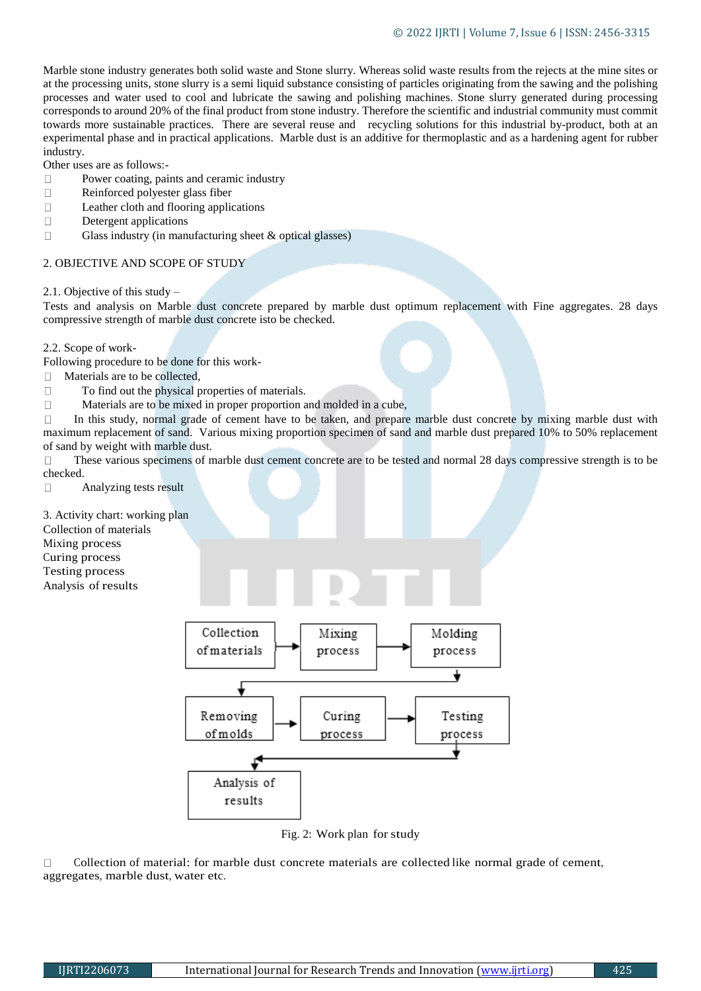Marble stone industry generates both solid waste and Stone slurry. Whereas solid waste results from the rejects at the mine sites or at the processing units, stone slurry is a semi liquid substance consisting of particles originating from the sawing and the polishing processes and water used to cool and lubricate the sawing and polishing machines. Stone slurry generated during processing corresponds to around 20% of the final product from stone industry. Therefore the scientific and industrial community must commit towards more sustainable practices. There are several reuse and recycling solutions for this industrial by-product, both at an experimental phase and in practical applications. Marble dust is an additive for thermoplastic and as a hardening agent for rubber industry.

Other uses are as follows:-

- $\Box$ Power coating, paints and ceramic industry
- $\Box$ Reinforced polyester glass fiber
- $\Box$ Leather cloth and flooring applications
- $\Box$ Detergent applications
- $\Box$ Glass industry (in manufacturing sheet & optical glasses)

### 2. OBJECTIVE AND SCOPE OF STUDY

2.1. Objective of this study –

Tests and analysis on Marble dust concrete prepared by marble dust optimum replacement with Fine aggregates. 28 days compressive strength of marble dust concrete isto be checked.

2.2. Scope of work-

Following procedure to be done for this work-

Materials are to be collected,  $\Box$ 

- $\Box$ To find out the physical properties of materials.
- $\Box$ Materials are to be mixed in proper proportion and molded in a cube,

 $\Box$ In this study, normal grade of cement have to be taken, and prepare marble dust concrete by mixing marble dust with maximum replacement of sand. Various mixing proportion specimen of sand and marble dust prepared 10% to 50% replacement of sand by weight with marble dust.

These various specimens of marble dust cement concrete are to be tested and normal 28 days compressive strength is to be  $\Box$ checked.

 $\Box$ Analyzing tests result

3. Activity chart: working plan

Collection of materials

Mixing process

Curing process Testing process

Analysis of results



Fig. 2: Work plan for study

Collection of material: for marble dust concrete materials are collected like normal grade of cement,  $\Box$ aggregates, marble dust, water etc.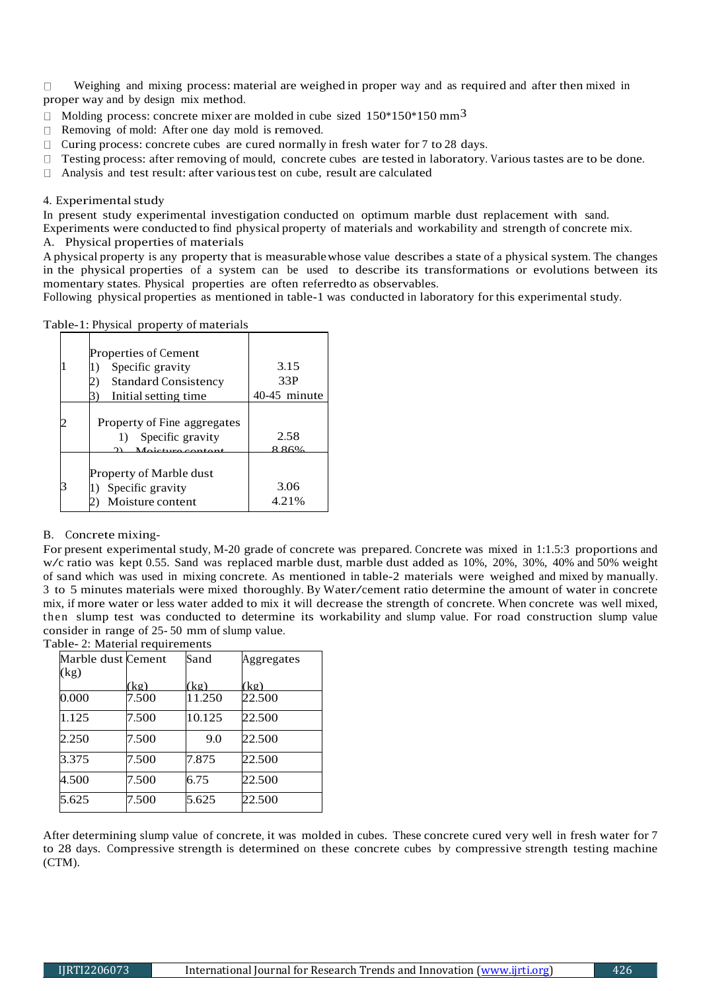Weighing and mixing process: material are weighed in proper way and as required and after then mixed in  $\Box$ proper way and by design mix method.

- $\Box$  Molding process: concrete mixer are molded in cube sized 150\*150\*150 mm<sup>3</sup>
- □ Removing of mold: After one day mold is removed.
- $\Box$  Curing process: concrete cubes are cured normally in fresh water for 7 to 28 days.
- $\Box$ Testing process: after removing of mould, concrete cubes are tested in laboratory. Various tastes are to be done.
- Analysis and test result: after varioustest on cube, result are calculated  $\Box$

## 4. Experimental study

In present study experimental investigation conducted on optimum marble dust replacement with sand.

Experiments were conducted to find physical property of materials and workability and strength of concrete mix.

A. Physical properties of materials

A physical property is any property that is measurablewhose value describes a state of a physical system. The changes in the physical properties of a system can be used to describe its transformations or evolutions between its momentary states. Physical properties are often referredto as observables.

Following physical properties as mentioned in table-1 was conducted in laboratory for this experimental study.

Table-1: Physical property of materials

| Properties of Cement                                  |               |
|-------------------------------------------------------|---------------|
| Specific gravity<br>1)                                | 3.15          |
| <b>Standard Consistency</b>                           | 33P           |
| Initial setting time.                                 | 40-45 minute  |
| Property of Fine aggregates<br>Specific gravity<br>1) | 2.58          |
| Moisture sontant                                      | 986%          |
| Property of Marble dust<br>Specific gravity           | 3.06<br>4.21% |
| Moisture content                                      |               |

## B. Concrete mixing-

For present experimental study, M-20 grade of concrete was prepared. Concrete was mixed in 1:1.5:3 proportions and w/c ratio was kept 0.55. Sand was replaced marble dust, marble dust added as 10%, 20%, 30%, 40% and 50% weight of sand which was used in mixing concrete. As mentioned in table-2 materials were weighed and mixed by manually. <sup>3</sup> to 5 minutes materials were mixed thoroughly. By Water/cement ratio determine the amount of water in concrete mix, if more water or less water added to mix it will decrease the strength of concrete. When concrete was well mixed, then slump test was conducted to determine its workability and slump value. For road construction slump value consider in range of 25- 50 mm of slump value.

#### Table- 2: Material requirements

| Marble dust Cement |       | Sand   | Aggregates |
|--------------------|-------|--------|------------|
| (kg)               |       |        |            |
|                    | (kg)  | (kg)   | (kg)       |
| 0.000              | 7.500 | 11.250 | 22.500     |
| 1.125              | 7.500 | 10.125 | 22.500     |
| 2.250              | 7.500 | 9.0    | 22.500     |
| 3.375              | 7.500 | 7.875  | 22.500     |
| 4.500              | 7.500 | 6.75   | 22.500     |
| 5.625              | 7.500 | 5.625  | 22.500     |

After determining slump value of concrete, it was molded in cubes. These concrete cured very well in fresh water for 7 to 28 days. Compressive strength is determined on these concrete cubes by compressive strength testing machine (CTM).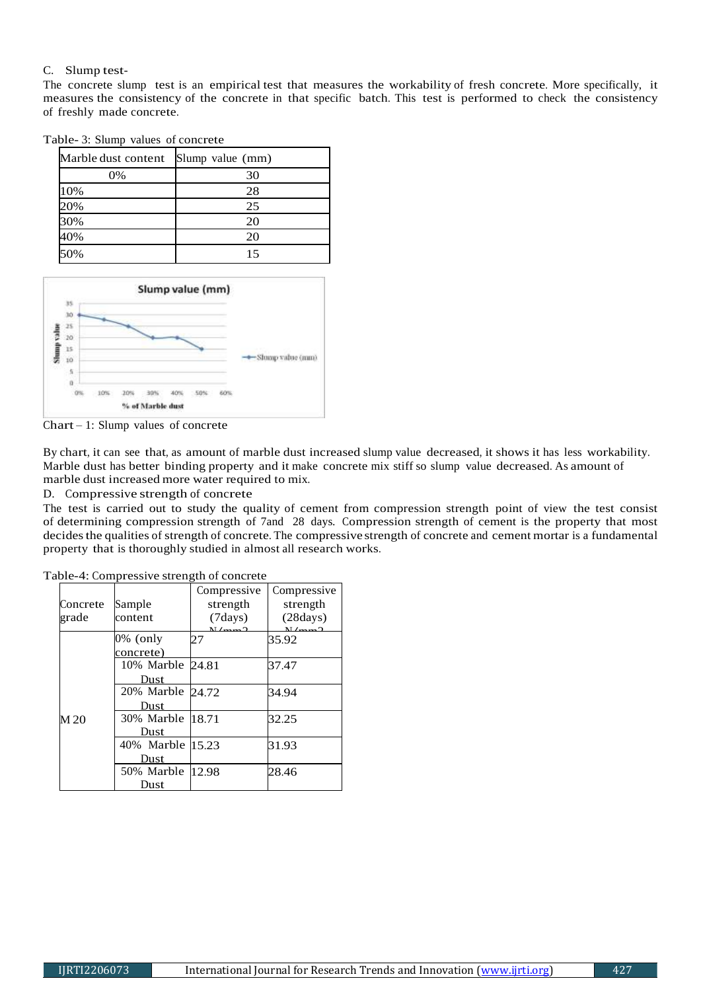# C. Slump test-

The concrete slump test is an empirical test that measures the workability of fresh concrete. More specifically, it measures the consistency of the concrete in that specific batch. This test is performed to check the consistency of freshly made concrete.

| Marble dust content Slump value (mm) |    |
|--------------------------------------|----|
| 0%                                   | 30 |
| 10%                                  | 28 |
| 20%                                  | 25 |
| 30%                                  | 20 |
| 40%                                  | 20 |
|                                      | 15 |

Table- 3: Slump values of concrete



Chart – 1: Slump values of concrete

By chart, it can see that, as amount of marble dust increased slump value decreased, it shows it has less workability. Marble dust has better binding property and it make concrete mix stiff so slump value decreased. As amount of marble dust increased more water required to mix.

D. Compressive strength of concrete

The test is carried out to study the quality of cement from compression strength point of view the test consist of determining compression strength of 7and 28 days. Compression strength of cement is the property that most decides the qualities of strength of concrete. The compressive strength of concrete and cement mortar is a fundamental property that is thoroughly studied in almost all research works.

|          |                  | Compressive                            | Compressive                |
|----------|------------------|----------------------------------------|----------------------------|
| Concrete | Sample           | strength                               | strength                   |
| grade    | content          | (7days)<br>$\mathbf{M}$ / $\mathbf{M}$ | (28 days)<br>$\frac{N}{2}$ |
|          | 0% (only         | 27                                     | 35.92                      |
|          | concrete)        |                                        |                            |
|          | 10% Marble 24.81 |                                        | 37.47                      |
|          | Dust             |                                        |                            |
|          | 20% Marble 24.72 |                                        | 34.94                      |
|          | Dust             |                                        |                            |
| M 20     | 30% Marble 18.71 |                                        | 32.25                      |
|          | Dust             |                                        |                            |
|          | 40% Marble 15.23 |                                        | 31.93                      |
|          | Dust             |                                        |                            |
|          | 50% Marble 12.98 |                                        | 28.46                      |
|          | Dust             |                                        |                            |

Table-4: Compressive strength of concrete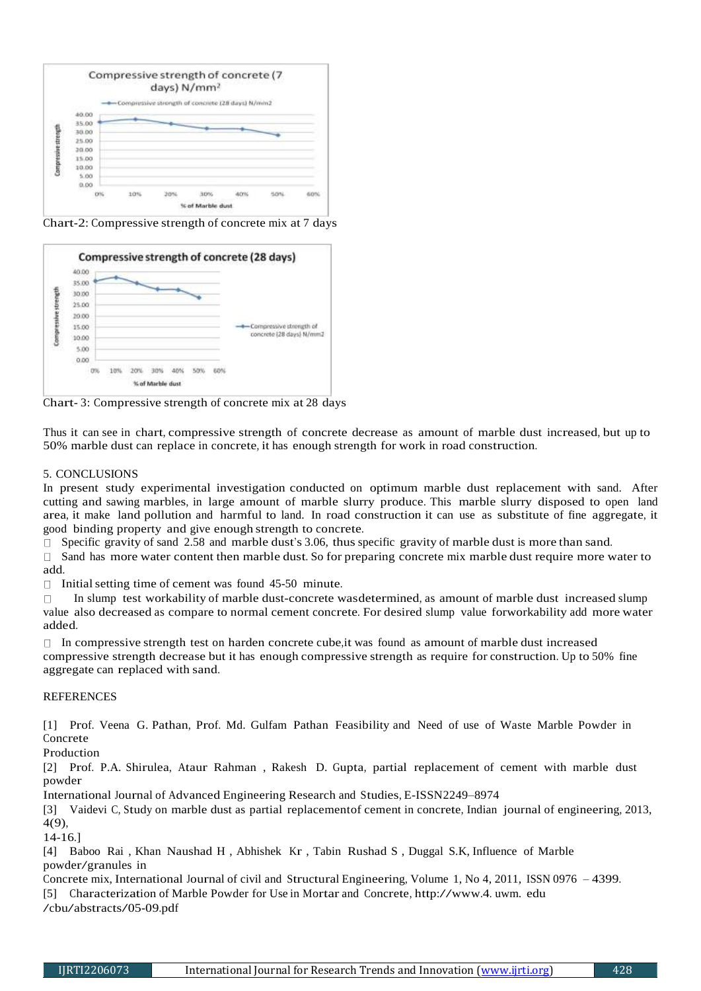

Chart-2: Compressive strength of concrete mix at 7 days



Chart- 3: Compressive strength of concrete mix at 28 days

Thus it can see in chart, compressive strength of concrete decrease as amount of marble dust increased, but up to 50% marble dust can replace in concrete, it has enough strength for work in road construction.

# 5. CONCLUSIONS

In present study experimental investigation conducted on optimum marble dust replacement with sand. After cutting and sawing marbles, in large amount of marble slurry produce. This marble slurry disposed to open land area, it make land pollution and harmful to land. In road construction it can use as substitute of fine aggregate, it good binding property and give enough strength to concrete.

 $\Box$  Specific gravity of sand 2.58 and marble dust's 3.06, thus specific gravity of marble dust is more than sand.

 $\Box$  Sand has more water content then marble dust. So for preparing concrete mix marble dust require more water to add.

 $\Box$ Initialsetting time of cement was found 45-50 minute.

In slump test workability of marble dust-concrete wasdetermined, as amount of marble dust increased slump  $\Box$ value also decreased as compare to normal cement concrete. For desired slump value forworkability add more water added.

 $\Box$  In compressive strength test on harden concrete cube, it was found as amount of marble dust increased compressive strength decrease but it has enough compressive strength as require for construction. Up to 50% fine aggregate can replaced with sand.

## REFERENCES

[1] Prof. Veena G. Pathan, Prof. Md. Gulfam Pathan Feasibility and Need of use of Waste Marble Powder in Concrete

Production

[2] Prof. P.A. Shirulea, Ataur Rahman , Rakesh D. Gupta, partial replacement of cement with marble dust powder

International Journal of Advanced Engineering Research and Studies, E-ISSN2249–8974

[3] Vaidevi C, Study on marble dust as partial replacementof cement in concrete, Indian journal of engineering, 2013, 4(9),

14-16.]

[4] Baboo Rai , Khan Naushad H , Abhishek Kr , Tabin Rushad S , Duggal S.K, Influence of Marble powder/granules in

Concrete mix, International Journal of civil and Structural Engineering, Volume 1, No 4, 2011, ISSN 0976 – 4399.

[5] Characterization of Marble Powder for Use in Mortar and Concrete, [http://www.4.](http://www.4/) uwm. edu

/cbu/abstracts/05-09.pdf